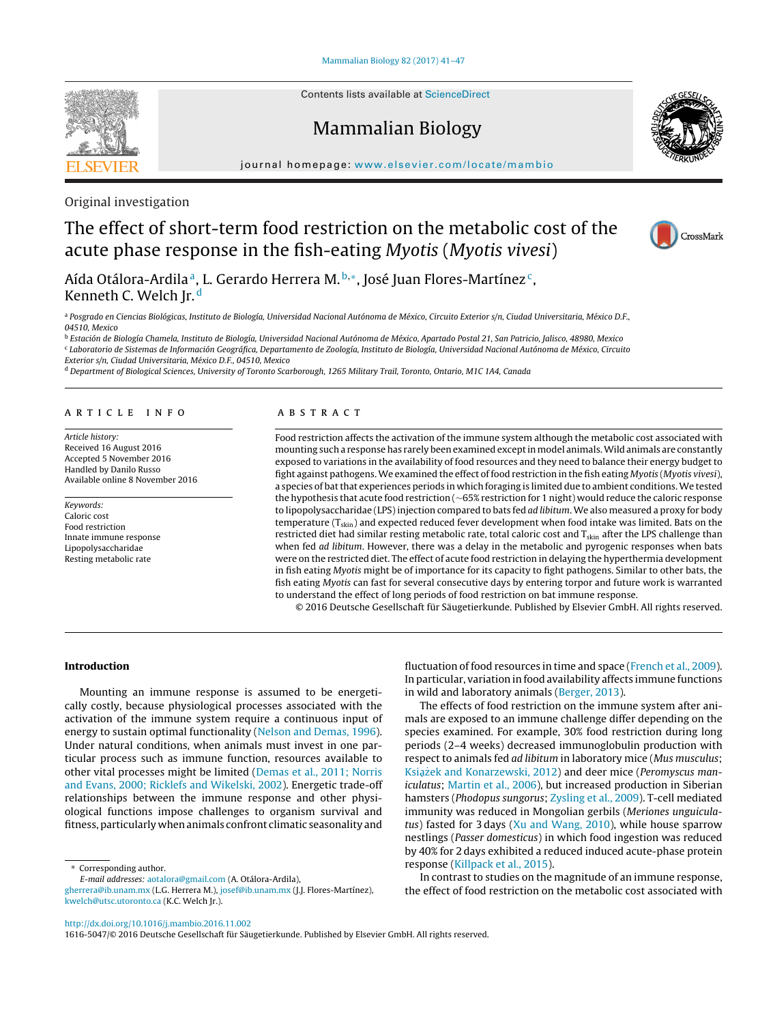Contents lists available at [ScienceDirect](http://www.sciencedirect.com/science/journal/16165047)

# Mammalian Biology

jour nal homepage: [www.elsevier.com/locate/mambio](http://www.elsevier.com/locate/mambio)

Original investigation

# The effect of short-term food restriction on the metabolic cost of the acute phase response in the fish-eating Myotis (Myotis vivesi)

Aída Otálora-Ardila<sup>a</sup>, L. Gerardo Herrera M.  $b,*$ , José Juan Flores-Martínez<sup>c</sup>, Kenneth C. Welch Jr.<sup>d</sup>

a Posgrado en Ciencias Biológicas, Instituto de Biología, Universidad Nacional Autónoma de México, Circuito Exterior s/n, Ciudad Universitaria, México D.F., 04510, Mexico

<sup>b</sup> Estación de Biología Chamela, Instituto de Biología, Universidad Nacional Autónoma de México, Apartado Postal 21, San Patricio, Jalisco, 48980, Mexico <sup>c</sup> Laboratorio de Sistemas de Información Geográfica, Departamento de Zoología, Instituto de Biología, Universidad Nacional Autónoma de México, Circuito Exterior s/n, Ciudad Universitaria, México D.F., 04510, Mexico

<sup>d</sup> Department of Biological Sciences, University of Toronto Scarborough, 1265 Military Trail, Toronto, Ontario, M1C 1A4, Canada

#### ARTICLE INFO

Article history: Received 16 August 2016 Accepted 5 November 2016 Handled by Danilo Russo Available online 8 November 2016

Keywords: Caloric cost Food restriction Innate immune response Lipopolysaccharidae Resting metabolic rate

# a b s t r a c t

Food restriction affects the activation of the immune system although the metabolic cost associated with mounting such a response has rarely been examined exceptinmodel animals.Wild animals are constantly exposed to variations in the availability of food resources and they need to balance their energy budget to fight against pathogens.We examined the effect of food restriction in the fish eating Myotis (Myotis vivesi), a species of bat that experiences periods in which foraging is limited due to ambient conditions. We tested the hypothesis that acute food restriction (∼65% restriction for 1 night) would reduce the caloric response to lipopolysaccharidae (LPS) injection compared to bats fed ad libitum. We also measured a proxy for body temperature (T<sub>skin</sub>) and expected reduced fever development when food intake was limited. Bats on the restricted diet had similar resting metabolic rate, total caloric cost and T<sub>skin</sub> after the LPS challenge than when fed ad libitum. However, there was a delay in the metabolic and pyrogenic responses when bats were on the restricted diet. The effect of acute food restriction in delaying the hyperthermia development in fish eating Myotis might be of importance for its capacity to fight pathogens. Similar to other bats, the fish eating Myotis can fast for several consecutive days by entering torpor and future work is warranted to understand the effect of long periods of food restriction on bat immune response.

© 2016 Deutsche Gesellschaft für Säugetierkunde. Published by Elsevier GmbH. All rights reserved.

## **Introduction**

Mounting an immune response is assumed to be energetically costly, because physiological processes associated with the activation of the immune system require a continuous input of energy to sustain optimal functionality ([Nelson](#page-6-0) [and](#page-6-0) [Demas,](#page-6-0) [1996\).](#page-6-0) Under natural conditions, when animals must invest in one particular process such as immune function, resources available to other vital processes might be limited [\(Demas](#page-6-0) et [al.,](#page-6-0) [2011;](#page-6-0) [Norris](#page-6-0) [and](#page-6-0) [Evans,](#page-6-0) [2000;](#page-6-0) [Ricklefs](#page-6-0) [and](#page-6-0) [Wikelski,](#page-6-0) [2002\).](#page-6-0) Energetic trade-off relationships between the immune response and other physiological functions impose challenges to organism survival and fitness,particularly whenanimals confront climatic seasonality and

∗ Corresponding author.

fluctuation of food resources in time and space ([French](#page-6-0) et [al.,](#page-6-0) [2009\).](#page-6-0) In particular, variation in food availability affects immune functions in wild and laboratory animals [\(Berger,](#page-6-0) [2013\).](#page-6-0)

The effects of food restriction on the immune system after animals are exposed to an immune challenge differ depending on the species examined. For example, 30% food restriction during long periods (2–4 weeks) decreased immunoglobulin production with respect to animals fed ad libitum in laboratory mice (Mus musculus; Książek [and](#page-6-0) [Konarzewski,](#page-6-0) [2012\)](#page-6-0) and deer mice (Peromyscus maniculatus; [Martin](#page-6-0) et [al.,](#page-6-0) [2006\),](#page-6-0) but increased production in Siberian hamsters (Phodopus sungorus; [Zysling](#page-6-0) et [al.,](#page-6-0) [2009\).](#page-6-0) T-cell mediated immunity was reduced in Mongolian gerbils (Meriones unguiculatus) fasted for 3 days [\(Xu](#page-6-0) [and](#page-6-0) [Wang,](#page-6-0) [2010\),](#page-6-0) while house sparrow nestlings (Passer domesticus) in which food ingestion was reduced by 40% for 2 days exhibited a reduced induced acute-phase protein response ([Killpack](#page-6-0) et [al.,](#page-6-0) [2015\).](#page-6-0)

In contrast to studies on the magnitude of an immune response, the effect of food restriction on the metabolic cost associated with

[http://dx.doi.org/10.1016/j.mambio.2016.11.002](dx.doi.org/10.1016/j.mambio.2016.11.002)







E-mail addresses: [aotalora@gmail.com](mailto:aotalora@gmail.com) (A. Otálora-Ardila),

[gherrera@ib.unam.mx](mailto:gherrera@ib.unam.mx) (L.G. Herrera M.), [josef@ib.unam.mx](mailto:josef@ib.unam.mx) (J.J. Flores-Martínez), [kwelch@utsc.utoronto.ca](mailto:kwelch@utsc.utoronto.ca) (K.C. Welch Jr.).

<sup>1616-5047/© 2016</sup> Deutsche Gesellschaft für Säugetierkunde. Published by Elsevier GmbH. All rights reserved.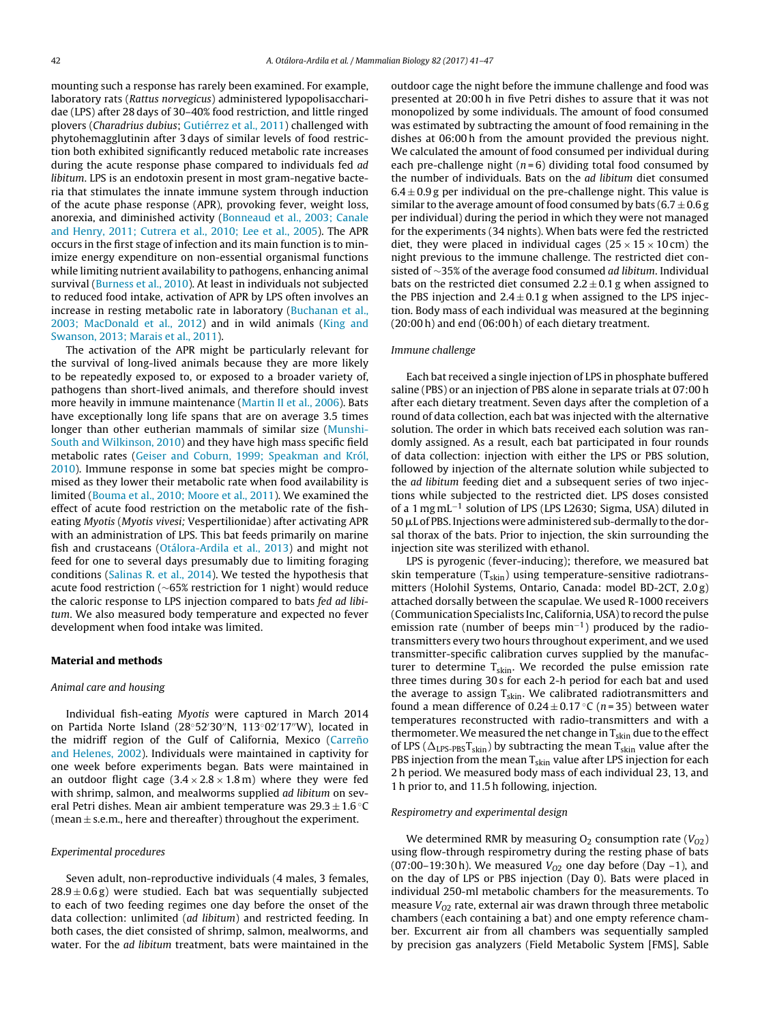mounting such a response has rarely been examined. For example, laboratory rats (Rattus norvegicus) administered lypopolisaccharidae (LPS) after 28 days of 30–40% food restriction, and little ringed plovers (Charadrius dubius; [Gutiérrez](#page-6-0) et [al.,](#page-6-0) [2011\)](#page-6-0) challenged with phytohemagglutinin after 3 days of similar levels of food restriction both exhibited significantly reduced metabolic rate increases during the acute response phase compared to individuals fed ad libitum. LPS is an endotoxin present in most gram-negative bacteria that stimulates the innate immune system through induction of the acute phase response (APR), provoking fever, weight loss, anorexia, and diminished activity ([Bonneaud](#page-6-0) et [al.,](#page-6-0) [2003;](#page-6-0) [Canale](#page-6-0) [and](#page-6-0) [Henry,](#page-6-0) [2011;](#page-6-0) [Cutrera](#page-6-0) et [al.,](#page-6-0) [2010;](#page-6-0) [Lee](#page-6-0) et [al.,](#page-6-0) [2005\).](#page-6-0) The APR occurs in the first stage of infection and its main function is to minimize energy expenditure on non-essential organismal functions while limiting nutrient availability to pathogens, enhancing animal survival [\(Burness](#page-6-0) et [al.,](#page-6-0) [2010\).](#page-6-0) At least in individuals not subjected to reduced food intake, activation of APR by LPS often involves an increase in resting metabolic rate in laboratory ([Buchanan](#page-6-0) et [al.,](#page-6-0) [2003;](#page-6-0) [MacDonald](#page-6-0) et [al.,](#page-6-0) [2012\)](#page-6-0) and in wild animals ([King](#page-6-0) [and](#page-6-0) [Swanson,](#page-6-0) [2013;](#page-6-0) [Marais](#page-6-0) et [al.,](#page-6-0) [2011\).](#page-6-0)

The activation of the APR might be particularly relevant for the survival of long-lived animals because they are more likely to be repeatedly exposed to, or exposed to a broader variety of, pathogens than short-lived animals, and therefore should invest more heavily in immune maintenance [\(Martin](#page-6-0) [II](#page-6-0) et [al.,](#page-6-0) [2006\).](#page-6-0) Bats have exceptionally long life spans that are on average 3.5 times longer than other eutherian mammals of similar size [\(Munshi-](#page-6-0)South [and](#page-6-0) [Wilkinson,](#page-6-0) [2010\)](#page-6-0) and they have high mass specific field metabolic rates [\(Geiser](#page-6-0) [and](#page-6-0) [Coburn,](#page-6-0) [1999;](#page-6-0) [Speakman](#page-6-0) [and](#page-6-0) [Król,](#page-6-0) [2010\).](#page-6-0) Immune response in some bat species might be compromised as they lower their metabolic rate when food availability is limited ([Bouma](#page-6-0) et [al.,](#page-6-0) [2010;](#page-6-0) [Moore](#page-6-0) et [al.,](#page-6-0) [2011\).](#page-6-0) We examined the effect of acute food restriction on the metabolic rate of the fisheating Myotis (Myotis vivesi; Vespertilionidae) after activating APR with an administration of LPS. This bat feeds primarily on marine fish and crustaceans [\(Otálora-Ardila](#page-6-0) et [al.,](#page-6-0) [2013\)](#page-6-0) and might not feed for one to several days presumably due to limiting foraging conditions ([Salinas](#page-6-0) [R.](#page-6-0) et [al.,](#page-6-0) [2014\).](#page-6-0) We tested the hypothesis that acute food restriction (∼65% restriction for 1 night) would reduce the caloric response to LPS injection compared to bats fed ad libitum. We also measured body temperature and expected no fever development when food intake was limited.

#### **Material and methods**

#### Animal care and housing

Individual fish-eating Myotis were captured in March 2014 on Partida Norte Island (28°52′30″N, 113°02′17″W), located in the midriff region of the Gulf of California, Mexico (Carreño [and](#page-6-0) [Helenes,](#page-6-0) [2002\).](#page-6-0) Individuals were maintained in captivity for one week before experiments began. Bats were maintained in an outdoor flight cage  $(3.4 \times 2.8 \times 1.8 \text{ m})$  where they were fed with shrimp, salmon, and mealworms supplied *ad libitum* on several Petri dishes. Mean air ambient temperature was  $29.3 \pm 1.6$  °C (mean  $\pm$  s.e.m., here and thereafter) throughout the experiment.

## Experimental procedures

Seven adult, non-reproductive individuals (4 males, 3 females,  $28.9 \pm 0.6$  g) were studied. Each bat was sequentially subjected to each of two feeding regimes one day before the onset of the data collection: unlimited (ad libitum) and restricted feeding. In both cases, the diet consisted of shrimp, salmon, mealworms, and water. For the ad libitum treatment, bats were maintained in the outdoor cage the night before the immune challenge and food was presented at 20:00 h in five Petri dishes to assure that it was not monopolized by some individuals. The amount of food consumed was estimated by subtracting the amount of food remaining in the dishes at 06:00 h from the amount provided the previous night. We calculated the amount of food consumed per individual during each pre-challenge night ( $n=6$ ) dividing total food consumed by the number of individuals. Bats on the ad libitum diet consumed  $6.4 \pm 0.9$  g per individual on the pre-challenge night. This value is similar to the average amount of food consumed by bats  $(6.7 \pm 0.6$  g per individual) during the period in which they were not managed for the experiments (34 nights). When bats were fed the restricted diet, they were placed in individual cages ( $25 \times 15 \times 10$  cm) the night previous to the immune challenge. The restricted diet consisted of ∼35% of the average food consumed ad libitum. Individual bats on the restricted diet consumed  $2.2 \pm 0.1$  g when assigned to the PBS injection and  $2.4 \pm 0.1$  g when assigned to the LPS injection. Body mass of each individual was measured at the beginning (20:00 h) and end (06:00 h) of each dietary treatment.

#### Immune challenge

Each bat received a single injection of LPS in phosphate buffered saline (PBS) or an injection of PBS alone in separate trials at 07:00 h after each dietary treatment. Seven days after the completion of a round of data collection, each bat was injected with the alternative solution. The order in which bats received each solution was randomly assigned. As a result, each bat participated in four rounds of data collection: injection with either the LPS or PBS solution, followed by injection of the alternate solution while subjected to the ad libitum feeding diet and a subsequent series of two injections while subjected to the restricted diet. LPS doses consisted of a 1 mg mL−<sup>1</sup> solution of LPS (LPS L2630; Sigma, USA) diluted in  $50\,\rm\mu L$  of PBS. Injections were administered sub-dermally to the dorsal thorax of the bats. Prior to injection, the skin surrounding the injection site was sterilized with ethanol.

LPS is pyrogenic (fever-inducing); therefore, we measured bat skin temperature  $(T<sub>skin</sub>)$  using temperature-sensitive radiotransmitters (Holohil Systems, Ontario, Canada: model BD-2CT, 2.0 g) attached dorsally between the scapulae. We used R-1000 receivers (Communication Specialists Inc, California, USA) to record the pulse emission rate (number of beeps min<sup>-1</sup>) produced by the radiotransmitters every two hours throughout experiment, and we used transmitter-specific calibration curves supplied by the manufacturer to determine  $T<sub>skin</sub>$ . We recorded the pulse emission rate three times during 30 s for each 2-h period for each bat and used the average to assign  $T_{skin}$ . We calibrated radiotransmitters and found a mean difference of  $0.24 \pm 0.17$  °C (n = 35) between water temperatures reconstructed with radio-transmitters and with a thermometer. We measured the net change in  $T_{skin}$  due to the effect of LPS ( $\Delta_{\text{LPS-PBS}}T_{\text{skin}}$ ) by subtracting the mean  $T_{\text{skin}}$  value after the PBS injection from the mean  $T_{skin}$  value after LPS injection for each 2 h period. We measured body mass of each individual 23, 13, and 1 h prior to, and 11.5 h following, injection.

#### Respirometry and experimental design

We determined RMR by measuring  $O_2$  consumption rate ( $V_{O2}$ ) using flow-through respirometry during the resting phase of bats (07:00–19:30 h). We measured  $V_{O2}$  one day before (Day -1), and on the day of LPS or PBS injection (Day 0). Bats were placed in individual 250-ml metabolic chambers for the measurements. To measure  $V_{O2}$  rate, external air was drawn through three metabolic chambers (each containing a bat) and one empty reference chamber. Excurrent air from all chambers was sequentially sampled by precision gas analyzers (Field Metabolic System [FMS], Sable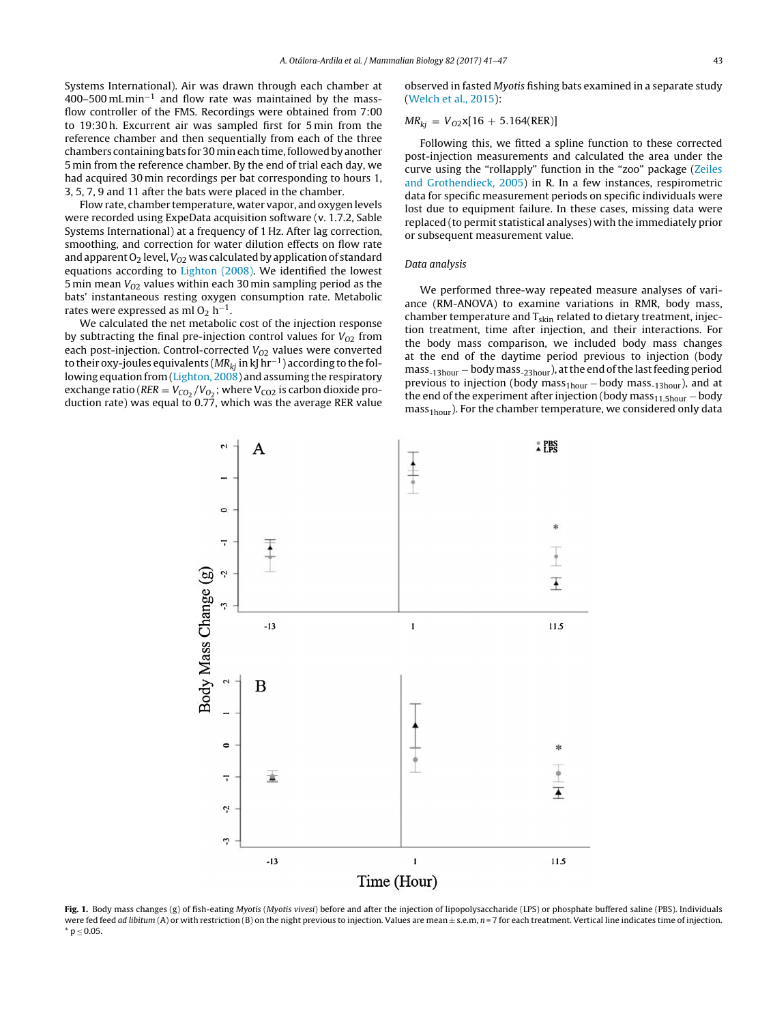<span id="page-2-0"></span>Systems International). Air was drawn through each chamber at 400–500 mL min−<sup>1</sup> and flow rate was maintained by the massflow controller of the FMS. Recordings were obtained from 7:00 to 19:30 h. Excurrent air was sampled first for 5 min from the reference chamber and then sequentially from each of the three chambers containing bats for 30 min each time, followed by another 5 min from the reference chamber. By the end of trial each day, we had acquired 30 min recordings per bat corresponding to hours 1, 3, 5, 7, 9 and 11 after the bats were placed in the chamber.

Flow rate, chamber temperature, water vapor, and oxygen levels were recorded using ExpeData acquisition software (v. 1.7.2, Sable Systems International) at a frequency of 1 Hz. After lag correction, smoothing, and correction for water dilution effects on flow rate and apparent  $O_2$  level,  $V_{O2}$  was calculated by application of standard equations according to [Lighton](#page-6-0) [\(2008\).](#page-6-0) We identified the lowest 5 min mean  $V_{O2}$  values within each 30 min sampling period as the bats' instantaneous resting oxygen consumption rate. Metabolic rates were expressed as ml O<sub>2</sub> h<sup>-1</sup>.

We calculated the net metabolic cost of the injection response by subtracting the final pre-injection control values for  $V_{O2}$  from each post-injection. Control-corrected  $V_{O2}$  values were converted to their oxy-joules equivalents ( $MR_{ki}$  in kJ hr<sup>-1</sup>) according to the fol-lowing equation from ([Lighton,](#page-6-0) [2008\)](#page-6-0) and assuming the respiratory exchange ratio ( $RER = V_{CO_2}/V_{O_2}$ ; where  $V_{CO_2}$  is carbon dioxide production rate) was equal to  $0.77$ , which was the average RER value observed in fasted Myotis fishing bats examined in a separate study [\(Welch](#page-6-0) et [al.,](#page-6-0) [2015\):](#page-6-0)

$$
MR_{kj} = V_{O2}x[16 + 5.164(\text{RER})]
$$

Following this, we fitted a spline function to these corrected post-injection measurements and calculated the area under the curve using the "rollapply" function in the "zoo" package ([Zeiles](#page-6-0) [and](#page-6-0) [Grothendieck,](#page-6-0) [2005\)](#page-6-0) in R. In a few instances, respirometric data for specific measurement periods on specific individuals were lost due to equipment failure. In these cases, missing data were replaced (to permit statistical analyses) with the immediately prior or subsequent measurement value.

## Data analysis

We performed three-way repeated measure analyses of variance (RM-ANOVA) to examine variations in RMR, body mass, chamber temperature and  $T<sub>skin</sub>$  related to dietary treatment, injection treatment, time after injection, and their interactions. For the body mass comparison, we included body mass changes at the end of the daytime period previous to injection (body mass<sub>-13hour</sub> − body mass<sub>-23hour</sub>), at the end of the last feeding period previous to injection (body mass<sub>1hour</sub> – body mass<sub>-13hour</sub>), and at the end of the experiment after injection (body mass $_{11.5\text{hour}}$  – body  $mass<sub>1 hour</sub>$ ). For the chamber temperature, we considered only data



Fig. 1. Body mass changes (g) of fish-eating Myotis (Myotis vivesi) before and after the injection of lipopolysaccharide (LPS) or phosphate buffered saline (PBS). Individuals were fed feed ad libitum (A) or with restriction (B) on the night previous to injection. Values are mean  $\pm$  s.e.m, n = 7 for each treatment. Vertical line indicates time of injection.  $*$  p  $\leq$  0.05.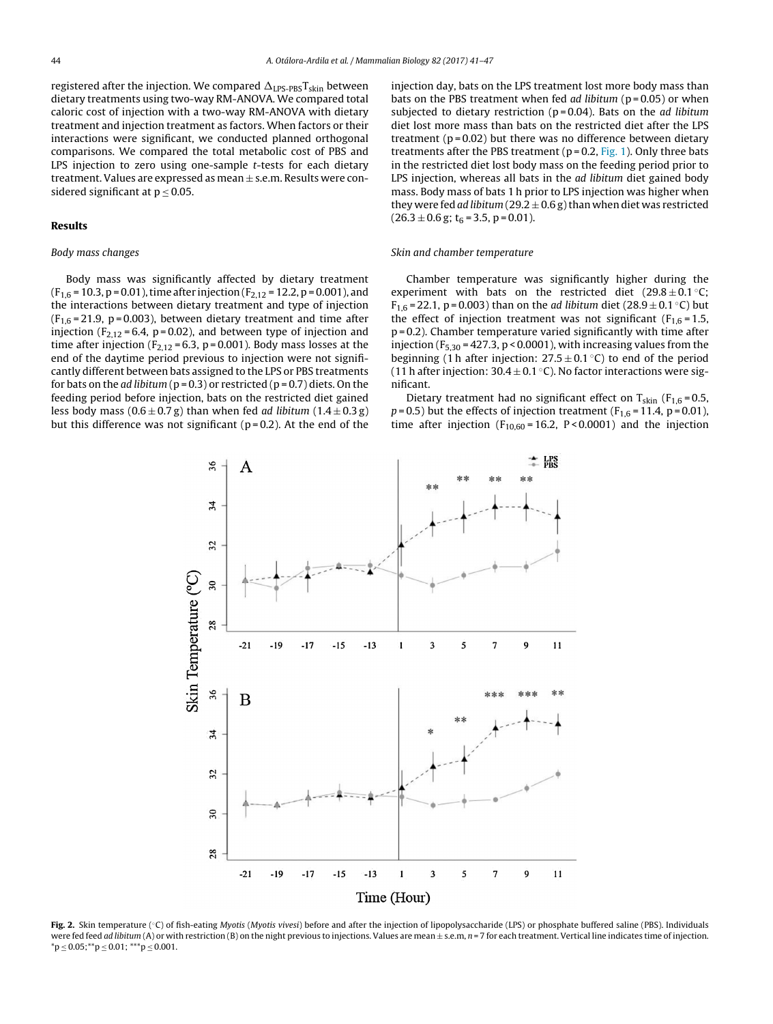<span id="page-3-0"></span>registered after the injection. We compared  $\Delta_{\text{LPS-PBS}}\text{T}_{\text{skin}}$  between dietary treatments using two-way RM-ANOVA. We compared total caloric cost of injection with a two-way RM-ANOVA with dietary treatment and injection treatment as factors. When factors or their interactions were significant, we conducted planned orthogonal comparisons. We compared the total metabolic cost of PBS and LPS injection to zero using one-sample *t*-tests for each dietary treatment. Values are expressed as mean  $\pm$  s.e.m. Results were considered significant at  $p < 0.05$ .

#### **Results**

# Body mass changes

Body mass was significantly affected by dietary treatment  $(F<sub>1,6</sub> = 10.3, p = 0.01)$ , time after injection  $(F<sub>2,12</sub> = 12.2, p = 0.001)$ , and the interactions between dietary treatment and type of injection  $(F<sub>1.6</sub> = 21.9, p = 0.003)$ , between dietary treatment and time after injection ( $F_{2,12}$  = 6.4, p = 0.02), and between type of injection and time after injection ( $F_{2,12}$  = 6.3, p = 0.001). Body mass losses at the end of the daytime period previous to injection were not significantly different between bats assigned to the LPS or PBS treatments for bats on the *ad libitum* ( $p = 0.3$ ) or restricted ( $p = 0.7$ ) diets. On the feeding period before injection, bats on the restricted diet gained less body mass  $(0.6 \pm 0.7 \text{ g})$  than when fed *ad libitum*  $(1.4 \pm 0.3 \text{ g})$ but this difference was not significant ( $p = 0.2$ ). At the end of the injection day, bats on the LPS treatment lost more body mass than bats on the PBS treatment when fed *ad libitum* ( $p = 0.05$ ) or when subjected to dietary restriction ( $p = 0.04$ ). Bats on the *ad libitum* diet lost more mass than bats on the restricted diet after the LPS treatment ( $p = 0.02$ ) but there was no difference between dietary treatments after the PBS treatment ( $p = 0.2$ , [Fig.](#page-2-0) 1). Only three bats in the restricted diet lost body mass on the feeding period prior to LPS injection, whereas all bats in the ad libitum diet gained body mass. Body mass of bats 1 h prior to LPS injection was higher when they were fed ad libitum (29.2  $\pm$  0.6 g) than when diet was restricted  $(26.3 \pm 0.6 \text{ g}; t_6 = 3.5, p = 0.01).$ 

# Skin and chamber temperature

Chamber temperature was significantly higher during the experiment with bats on the restricted diet  $(29.8 \pm 0.1 \degree \text{C})$ ;  $F_{1,6} = 22.1$ , p = 0.003) than on the *ad libitum* diet (28.9 ± 0.1 °C) but the effect of injection treatment was not significant ( $F_{1,6} = 1.5$ , p = 0.2). Chamber temperature varied significantly with time after injection ( $F_{5,30}$  = 427.3, p < 0.0001), with increasing values from the beginning (1 h after injection:  $27.5 \pm 0.1$  °C) to end of the period (11 h after injection:  $30.4 \pm 0.1$  °C). No factor interactions were significant.

Dietary treatment had no significant effect on  $T_{\text{skin}}$  ( $F_{1,6} = 0.5$ ,  $p = 0.5$ ) but the effects of injection treatment ( $F_{1,6} = 11.4$ ,  $p = 0.01$ ), time after injection ( $F_{10,60}$  = 16.2, P < 0.0001) and the injection



**Fig. 2.** Skin temperature (◦C) of fish-eating Myotis (Myotis vivesi) before and after the injection of lipopolysaccharide (LPS) or phosphate buffered saline (PBS). Individuals were fed feed ad libitum (A) or with restriction (B) on the night previous to injections. Values are mean  $\pm$  s.e.m, n = 7 for each treatment. Vertical line indicates time of injection.  $*p \leq 0.05; **p \leq 0.01; ***p \leq 0.001.$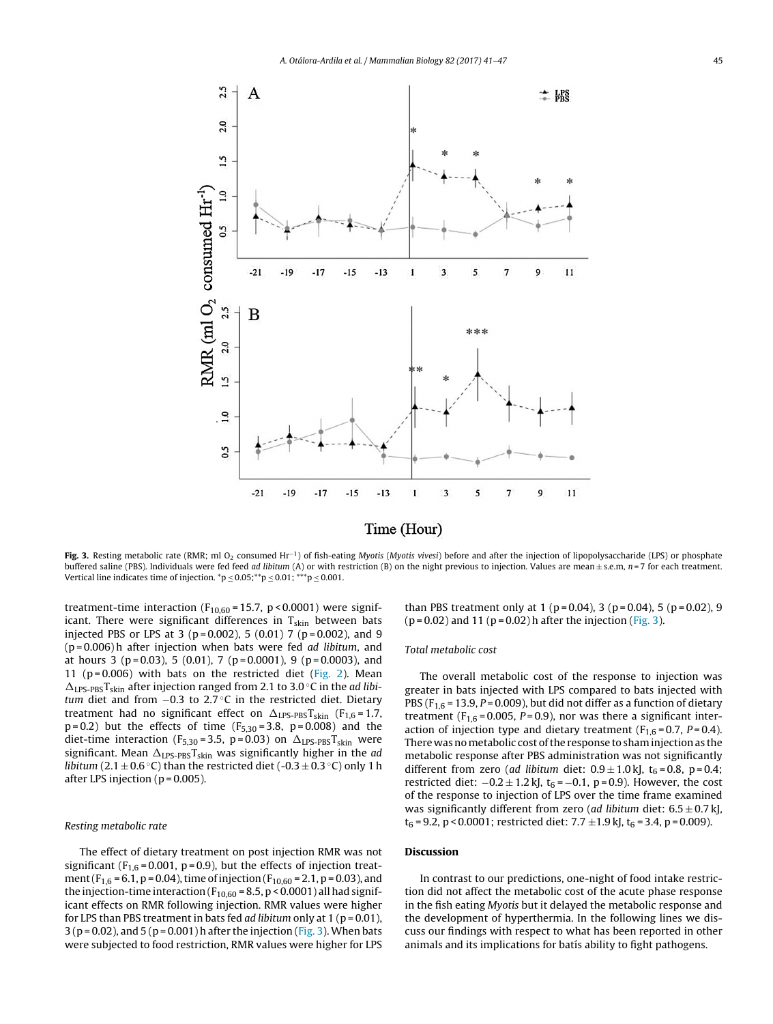

**Fig. 3.** Resting metabolic rate (RMR; ml O<sub>2</sub> consumed Hr<sup>−1</sup>) of fish-eating Myotis (Myotis vivesi) before and after the injection of lipopolysaccharide (LPS) or phosphate buffered saline (PBS). Individuals were fed feed *ad libitum* (A) or with restriction (B) on the night previous to injection. Values are mean $\pm$  s.e.m,  $n = 7$  for each treatment. Vertical line indicates time of injection.  $^{\ast}p$   $\leq$  0.05; $^{\ast\ast}p$   $\leq$  0.01;  $^{\ast\ast\ast}p$   $\leq$  0.001.

treatment-time interaction ( $F_{10,60}$  = 15.7, p < 0.0001) were significant. There were significant differences in  $T_{skin}$  between bats injected PBS or LPS at 3 ( $p = 0.002$ ), 5 (0.01) 7 ( $p = 0.002$ ), and 9  $(p=0.006)$ h after injection when bats were fed ad libitum, and at hours 3 (p=0.03), 5 (0.01), 7 (p=0.0001), 9 (p=0.0003), and 11 ( $p = 0.006$ ) with bats on the restricted diet [\(Fig.](#page-3-0) 2). Mean  $\Delta_{\text{LPS-PBS}}T_{\text{skin}}$  after injection ranged from 2.1 to 3.0 °C in the ad libitum diet and from −0.3 to 2.7 ◦C in the restricted diet. Dietary treatment had no significant effect on  $\Delta_{\text{LPS-PBS}}T_{\text{skin}}$  (F<sub>1,6</sub>=1.7,  $p = 0.2$ ) but the effects of time  $(F_{5,30} = 3.8, p = 0.008)$  and the diet-time interaction (F<sub>5,30</sub>=3.5, p=0.03) on  $\Delta_{\text{LPS-PBS}}T_{\text{skin}}$  were significant. Mean  $\Delta_{\text{LPS-PBS}}\text{T}_{\text{skin}}$  was significantly higher in the ad *libitum* (2.1  $\pm$  0.6 °C) than the restricted diet (-0.3  $\pm$  0.3 °C) only 1 h after LPS injection ( $p = 0.005$ ).

#### Resting metabolic rate

The effect of dietary treatment on post injection RMR was not significant ( $F_{1,6}$  = 0.001, p = 0.9), but the effects of injection treatment ( $F_{1,6}$  = 6.1, p = 0.04), time of injection ( $F_{10,60}$  = 2.1, p = 0.03), and the injection-time interaction ( $F_{10,60}$  = 8.5, p < 0.0001) all had significant effects on RMR following injection. RMR values were higher for LPS than PBS treatment in bats fed *ad libitum* only at  $1$  ( $p = 0.01$ ),  $3 (p = 0.02)$ , and  $5 (p = 0.001)$  h after the injection (Fig. 3). When bats were subjected to food restriction, RMR values were higher for LPS

than PBS treatment only at 1 ( $p = 0.04$ ), 3 ( $p = 0.04$ ), 5 ( $p = 0.02$ ), 9  $(p = 0.02)$  and 11  $(p = 0.02)$  h after the injection (Fig. 3).

## Total metabolic cost

The overall metabolic cost of the response to injection was greater in bats injected with LPS compared to bats injected with PBS ( $F_{1,6}$  = 13.9,  $P$  = 0.009), but did not differ as a function of dietary treatment ( $F_{1,6}$  = 0.005, P = 0.9), nor was there a significant interaction of injection type and dietary treatment ( $F_{1,6} = 0.7$ ,  $P = 0.4$ ). There was no metabolic cost of the response to sham injection as the metabolic response after PBS administration was not significantly different from zero (ad libitum diet:  $0.9 \pm 1.0$  kJ, t<sub>6</sub> = 0.8, p = 0.4; restricted diet:  $-0.2 \pm 1.2$  kJ, t<sub>6</sub> =  $-0.1$ , p = 0.9). However, the cost of the response to injection of LPS over the time frame examined was significantly different from zero (ad libitum diet:  $6.5 \pm 0.7$  kJ,  $t_6 = 9.2$ , p < 0.0001; restricted diet: 7.7  $\pm$ 1.9 kJ,  $t_6 = 3.4$ , p = 0.009).

## **Discussion**

In contrast to our predictions, one-night of food intake restriction did not affect the metabolic cost of the acute phase response in the fish eating Myotis but it delayed the metabolic response and the development of hyperthermia. In the following lines we discuss our findings with respect to what has been reported in other animals and its implications for batis ability to fight pathogens.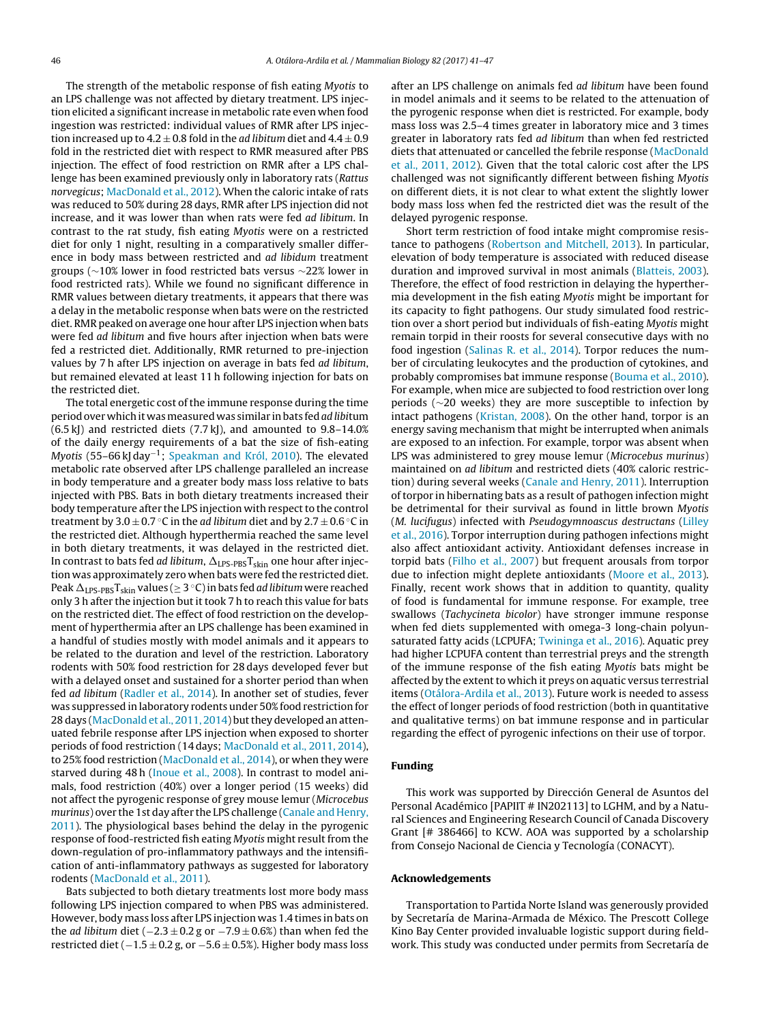The strength of the metabolic response of fish eating Myotis to an LPS challenge was not affected by dietary treatment. LPS injection elicited a significantincrease in metabolic rate even when food ingestion was restricted: individual values of RMR after LPS injection increased up to  $4.2 \pm 0.8$  fold in the *ad libitum* diet and  $4.4 \pm 0.9$ fold in the restricted diet with respect to RMR measured after PBS injection. The effect of food restriction on RMR after a LPS challenge has been examined previously only in laboratory rats (Rattus norvegicus; [MacDonald](#page-6-0) et [al.,](#page-6-0) [2012\).](#page-6-0) When the caloric intake of rats was reduced to 50% during 28 days, RMR after LPS injection did not increase, and it was lower than when rats were fed ad libitum. In contrast to the rat study, fish eating Myotis were on a restricted diet for only 1 night, resulting in a comparatively smaller difference in body mass between restricted and ad libidum treatment groups (∼10% lower in food restricted bats versus ∼22% lower in food restricted rats). While we found no significant difference in RMR values between dietary treatments, it appears that there was a delay in the metabolic response when bats were on the restricted diet. RMR peaked on average one hour after LPS injection when bats were fed ad libitum and five hours after injection when bats were fed a restricted diet. Additionally, RMR returned to pre-injection values by 7 h after LPS injection on average in bats fed ad libitum, but remained elevated at least 11 h following injection for bats on the restricted diet.

The total energetic cost of the immune response during the time period over which it was measured was similar in bats fed ad libitum (6.5 kJ) and restricted diets (7.7 kJ), and amounted to 9.8–14.0% of the daily energy requirements of a bat the size of fish-eating Myotis (55–66 kJ day−1; [Speakman](#page-6-0) [and](#page-6-0) [Król,](#page-6-0) [2010\).](#page-6-0) The elevated metabolic rate observed after LPS challenge paralleled an increase in body temperature and a greater body mass loss relative to bats injected with PBS. Bats in both dietary treatments increased their body temperature after the LPS injection with respect to the control treatment by  $3.0 \pm 0.7$  °C in the *ad libitum* diet and by  $2.7 \pm 0.6$  °C in the restricted diet. Although hyperthermia reached the same level in both dietary treatments, it was delayed in the restricted diet. In contrast to bats fed *ad libitum*,  $\Delta_{\text{LPS-PBS}}\text{T}_{\text{skin}}$  one hour after injection was approximately zero when bats were fed the restricted diet. Peak  $\Delta_{\text{LPS-PBS}}\text{T}_{\text{skin}}$  values ( $\geq$  3  $^{\circ}$ C) in bats fed *ad libitum* were reached only 3 h after the injection but it took 7 h to reach this value for bats on the restricted diet. The effect of food restriction on the development of hyperthermia after an LPS challenge has been examined in a handful of studies mostly with model animals and it appears to be related to the duration and level of the restriction. Laboratory rodents with 50% food restriction for 28 days developed fever but with a delayed onset and sustained for a shorter period than when fed ad libitum ([Radler](#page-6-0) et [al.,](#page-6-0) [2014\).](#page-6-0) In another set of studies, fever was suppressed in laboratory rodents under 50% food restriction for 28 days ([MacDonald](#page-6-0) et [al.,](#page-6-0) [2011,](#page-6-0) [2014\)](#page-6-0) but they developed an attenuated febrile response after LPS injection when exposed to shorter periods of food restriction (14 days; [MacDonald](#page-6-0) et [al.,](#page-6-0) [2011,](#page-6-0) [2014\),](#page-6-0) to 25% food restriction ([MacDonald](#page-6-0) et [al.,](#page-6-0) [2014\),](#page-6-0) or when they were starved during 48 h [\(Inoue](#page-6-0) et [al.,](#page-6-0) [2008\).](#page-6-0) In contrast to model animals, food restriction (40%) over a longer period (15 weeks) did not affect the pyrogenic response of grey mouse lemur (Microcebus murinus) over the 1st day after the LPS challenge ([Canale](#page-6-0) [and](#page-6-0) [Henry,](#page-6-0) [2011\).](#page-6-0) The physiological bases behind the delay in the pyrogenic response of food-restricted fish eating Myotis might result from the down-regulation of pro-inflammatory pathways and the intensification of anti-inflammatory pathways as suggested for laboratory rodents [\(MacDonald](#page-6-0) et [al.,](#page-6-0) [2011\).](#page-6-0)

Bats subjected to both dietary treatments lost more body mass following LPS injection compared to when PBS was administered. However, body mass loss after LPS injection was 1.4 times in bats on the *ad libitum* diet ( $-2.3 \pm 0.2$  g or  $-7.9 \pm 0.6$ %) than when fed the restricted diet ( $-1.5 \pm 0.2$  g, or  $-5.6 \pm 0.5$ %). Higher body mass loss after an LPS challenge on animals fed ad libitum have been found in model animals and it seems to be related to the attenuation of the pyrogenic response when diet is restricted. For example, body mass loss was 2.5–4 times greater in laboratory mice and 3 times greater in laboratory rats fed ad libitum than when fed restricted diets that attenuated or cancelled the febrile response ([MacDonald](#page-6-0) et [al.,](#page-6-0) [2011,](#page-6-0) [2012\).](#page-6-0) Given that the total caloric cost after the LPS challenged was not significantly different between fishing Myotis on different diets, it is not clear to what extent the slightly lower body mass loss when fed the restricted diet was the result of the delayed pyrogenic response.

Short term restriction of food intake might compromise resistance to pathogens [\(Robertson](#page-6-0) [and](#page-6-0) [Mitchell,](#page-6-0) [2013\).](#page-6-0) In particular, elevation of body temperature is associated with reduced disease duration and improved survival in most animals ([Blatteis,](#page-6-0) [2003\).](#page-6-0) Therefore, the effect of food restriction in delaying the hyperthermia development in the fish eating Myotis might be important for its capacity to fight pathogens. Our study simulated food restriction over a short period but individuals of fish-eating Myotis might remain torpid in their roosts for several consecutive days with no food ingestion [\(Salinas](#page-6-0) [R.](#page-6-0) et [al.,](#page-6-0) [2014\).](#page-6-0) Torpor reduces the number of circulating leukocytes and the production of cytokines, and probably compromises bat immune response [\(Bouma](#page-6-0) et [al.,](#page-6-0) [2010\).](#page-6-0) For example, when mice are subjected to food restriction over long periods (∼20 weeks) they are more susceptible to infection by intact pathogens ([Kristan,](#page-6-0) [2008\).](#page-6-0) On the other hand, torpor is an energy saving mechanism that might be interrupted when animals are exposed to an infection. For example, torpor was absent when LPS was administered to grey mouse lemur (Microcebus murinus) maintained on ad libitum and restricted diets (40% caloric restriction) during several weeks ([Canale](#page-6-0) [and](#page-6-0) [Henry,](#page-6-0) [2011\).](#page-6-0) Interruption of torpor in hibernating bats as a result of pathogen infection might be detrimental for their survival as found in little brown Myotis (M. lucifugus) infected with Pseudogymnoascus destructans [\(Lilley](#page-6-0) et [al.,](#page-6-0) [2016\).](#page-6-0) Torpor interruption during pathogen infections might also affect antioxidant activity. Antioxidant defenses increase in torpid bats ([Filho](#page-6-0) et [al.,](#page-6-0) [2007\)](#page-6-0) but frequent arousals from torpor due to infection might deplete antioxidants [\(Moore](#page-6-0) et [al.,](#page-6-0) [2013\).](#page-6-0) Finally, recent work shows that in addition to quantity, quality of food is fundamental for immune response. For example, tree swallows (Tachycineta bicolor) have stronger immune response when fed diets supplemented with omega-3 long-chain polyunsaturated fatty acids (LCPUFA; [Twininga](#page-6-0) et [al.,](#page-6-0) [2016\).](#page-6-0) Aquatic prey had higher LCPUFA content than terrestrial preys and the strength of the immune response of the fish eating Myotis bats might be affected by the extent to which it preys on aquatic versus terrestrial items ([Otálora-Ardila](#page-6-0) et [al.,](#page-6-0) [2013\).](#page-6-0) Future work is needed to assess the effect of longer periods of food restriction (both in quantitative and qualitative terms) on bat immune response and in particular regarding the effect of pyrogenic infections on their use of torpor.

## **Funding**

This work was supported by Dirección General de Asuntos del Personal Académico [PAPIIT # IN202113] to LGHM, and by a Natural Sciences and Engineering Research Council of Canada Discovery Grant [# 386466] to KCW. AOA was supported by a scholarship from Consejo Nacional de Ciencia y Tecnología (CONACYT).

#### **Acknowledgements**

Transportation to Partida Norte Island was generously provided by Secretaría de Marina-Armada de México. The Prescott College Kino Bay Center provided invaluable logistic support during fieldwork. This study was conducted under permits from Secretaría de